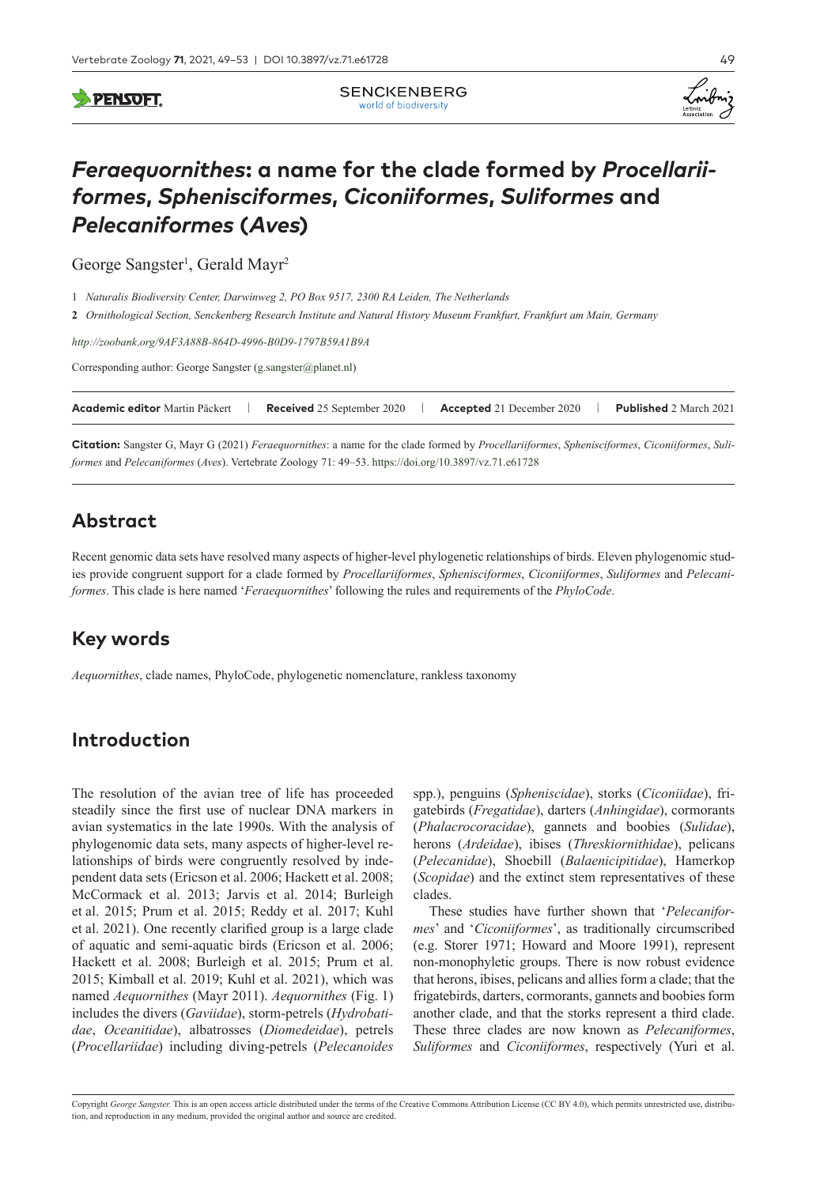**PENSOFT** 



# *Feraequornithes***: a name for the clade formed by** *Procellariiformes***,** *Sphenisciformes***,** *Ciconiiformes***,** *Suliformes* **and**  *Pelecaniformes* **(***Aves***)**

George Sangster<sup>1</sup>, Gerald Mayr<sup>2</sup>

1 *Naturalis Biodiversity Center, Darwinweg 2, PO Box 9517, 2300 RA Leiden, The Netherlands*

**2** *Ornithological Section, Senckenberg Research Institute and Natural History Museum Frankfurt, Frankfurt am Main, Germany*

*http://zoobank*.*[org/9AF3A88B-864D-4996-B0D9-1797B59A1B9A](http://zoobank.org/9AF3A88B-864D-4996-B0D9-1797B59A1B9A)*

Corresponding author: George Sangster ([g.sangster@planet.nl](mailto:g.sangster@planet.nl))

**Academic editor** Martin Päckert | **Received** 25 September 2020 | **Accepted** 21 December 2020 | **Published** 2 March 2021

**Citation:** Sangster G, Mayr G (2021) *Feraequornithes*: a name for the clade formed by *Procellariiformes*, *Sphenisciformes*, *Ciconiiformes*, *Suliformes* and *Pelecaniformes* (*Aves*). Vertebrate Zoology 71: 49–53.<https://doi.org/10.3897/vz.71.e61728>

# **Abstract**

Recent genomic data sets have resolved many aspects of higher-level phylogenetic relationships of birds. Eleven phylogenomic studies provide congruent support for a clade formed by *Procellariiformes*, *Sphenisciformes*, *Ciconiiformes*, *Suliformes* and *Pelecaniformes*. This clade is here named '*Feraequornithes*' following the rules and requirements of the *PhyloCode*.

# **Key words**

*Aequornithes*, clade names, PhyloCode, phylogenetic nomenclature, rankless taxonomy

# **Introduction**

The resolution of the avian tree of life has proceeded steadily since the first use of nuclear DNA markers in avian systematics in the late 1990s. With the analysis of phylogenomic data sets, many aspects of higher-level relationships of birds were congruently resolved by independent data sets (Ericson et al. 2006; Hackett et al. 2008; McCormack et al. 2013; Jarvis et al. 2014; Burleigh et al. 2015; Prum et al. 2015; Reddy et al. 2017; Kuhl et al. 2021). One recently clarified group is a large clade of aquatic and semi-aquatic birds (Ericson et al. 2006; Hackett et al. 2008; Burleigh et al. 2015; Prum et al. 2015; Kimball et al. 2019; Kuhl et al. 2021), which was named *Aequornithes* (Mayr 2011). *Aequornithes* (Fig. 1) includes the divers (*Gaviidae*), storm-petrels (*Hydrobatidae*, *Oceanitidae*), albatrosses (*Diomedeidae*), petrels (*Procellariidae*) including diving-petrels (*Pelecanoides* 

spp.), penguins (*Spheniscidae*), storks (*Ciconiidae*), frigatebirds (*Fregatidae*), darters (*Anhingidae*), cormorants (*Phalacrocoracidae*), gannets and boobies (*Sulidae*), herons (*Ardeidae*), ibises (*Threskiornithidae*), pelicans (*Pelecanidae*), Shoebill (*Balaenicipitidae*), Hamerkop (*Scopidae*) and the extinct stem representatives of these clades.

These studies have further shown that '*Pelecaniformes*' and '*Ciconiiformes*', as traditionally circumscribed (e.g. Storer 1971; Howard and Moore 1991), represent non-monophyletic groups. There is now robust evidence that herons, ibises, pelicans and allies form a clade; that the frigatebirds, darters, cormorants, gannets and boobies form another clade, and that the storks represent a third clade. These three clades are now known as *Pelecaniformes*, *Suliformes* and *Ciconiiformes*, respectively (Yuri et al.

Copyright *George Sangster.* This is an open access article distributed under the terms of the [Creative Commons Attribution License \(CC BY 4.0\)](http://creativecommons.org/licenses/by/4.0/), which permits unrestricted use, distribution, and reproduction in any medium, provided the original author and source are credited.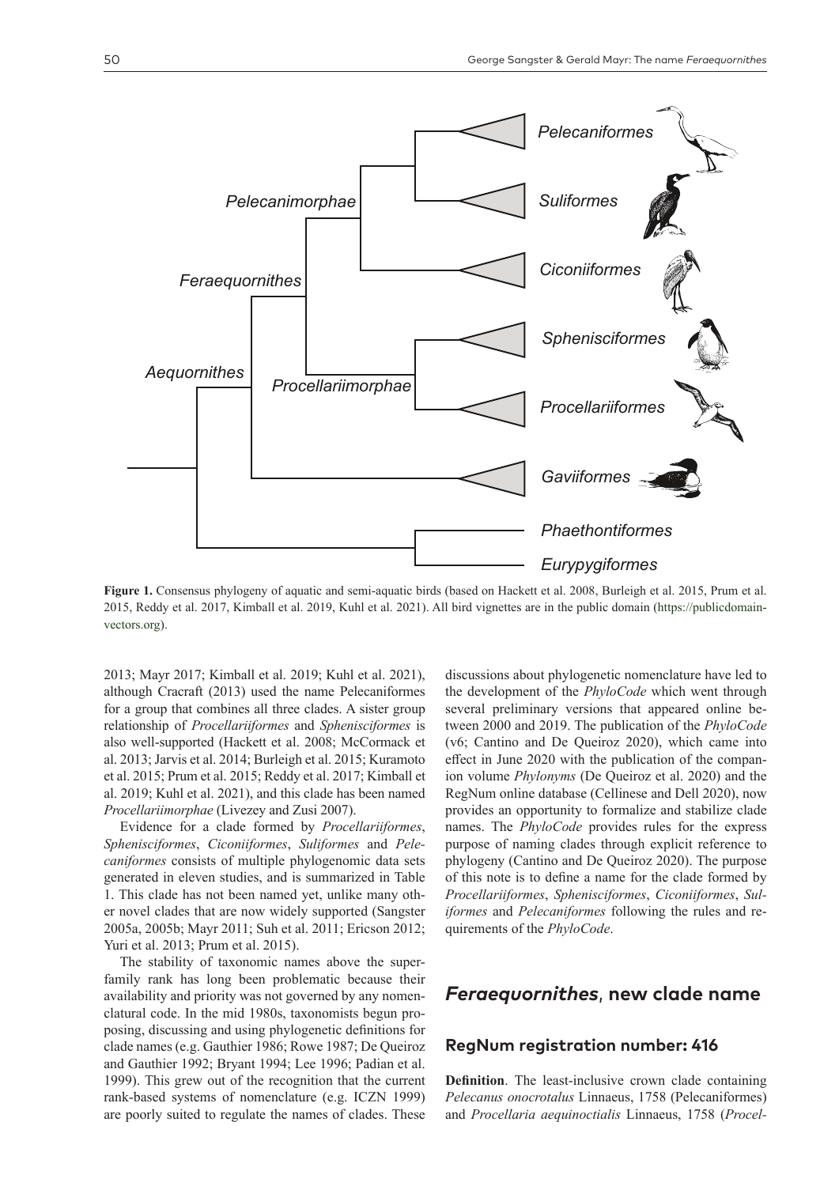

**Figure 1.** Consensus phylogeny of aquatic and semi-aquatic birds (based on Hackett et al. 2008, Burleigh et al. 2015, Prum et al. 2015, Reddy et al. 2017, Kimball et al. 2019, Kuhl et al. 2021). All bird vignettes are in the public domain ([https://publicdomain](https://publicdomainvectors.org)[vectors.org\)](https://publicdomainvectors.org).

2013; Mayr 2017; Kimball et al. 2019; Kuhl et al. 2021), although Cracraft (2013) used the name Pelecaniformes for a group that combines all three clades. A sister group relationship of *Procellariiformes* and *Sphenisciformes* is also well-supported (Hackett et al. 2008; McCormack et al. 2013; Jarvis et al. 2014; Burleigh et al. 2015; Kuramoto et al. 2015; Prum et al. 2015; Reddy et al. 2017; Kimball et al. 2019; Kuhl et al. 2021), and this clade has been named *Procellariimorphae* (Livezey and Zusi 2007).

Evidence for a clade formed by *Procellariiformes*, *Sphenisciformes*, *Ciconiiformes*, *Suliformes* and *Pelecaniformes* consists of multiple phylogenomic data sets generated in eleven studies, and is summarized in Table 1. This clade has not been named yet, unlike many other novel clades that are now widely supported (Sangster 2005a, 2005b; Mayr 2011; Suh et al. 2011; Ericson 2012; Yuri et al. 2013; Prum et al. 2015).

The stability of taxonomic names above the superfamily rank has long been problematic because their availability and priority was not governed by any nomenclatural code. In the mid 1980s, taxonomists begun proposing, discussing and using phylogenetic definitions for clade names (e.g. Gauthier 1986; Rowe 1987; De Queiroz and Gauthier 1992; Bryant 1994; Lee 1996; Padian et al. 1999). This grew out of the recognition that the current rank-based systems of nomenclature (e.g. ICZN 1999) are poorly suited to regulate the names of clades. These

discussions about phylogenetic nomenclature have led to the development of the *PhyloCode* which went through several preliminary versions that appeared online between 2000 and 2019. The publication of the *PhyloCode*  (v6; Cantino and De Queiroz 2020), which came into effect in June 2020 with the publication of the companion volume *Phylonyms* (De Queiroz et al. 2020) and the RegNum online database (Cellinese and Dell 2020), now provides an opportunity to formalize and stabilize clade names. The *PhyloCode* provides rules for the express purpose of naming clades through explicit reference to phylogeny (Cantino and De Queiroz 2020). The purpose of this note is to define a name for the clade formed by *Procellariiformes*, *Sphenisciformes*, *Ciconiiformes*, *Suliformes* and *Pelecaniformes* following the rules and requirements of the *PhyloCode*.

#### *Feraequornithes*, **new clade name**

#### **RegNum registration number: 416**

**Definition**. The least-inclusive crown clade containing *Pelecanus onocrotalus* Linnaeus, 1758 (Pelecaniformes) and *Procellaria aequinoctialis* Linnaeus, 1758 (*Procel-*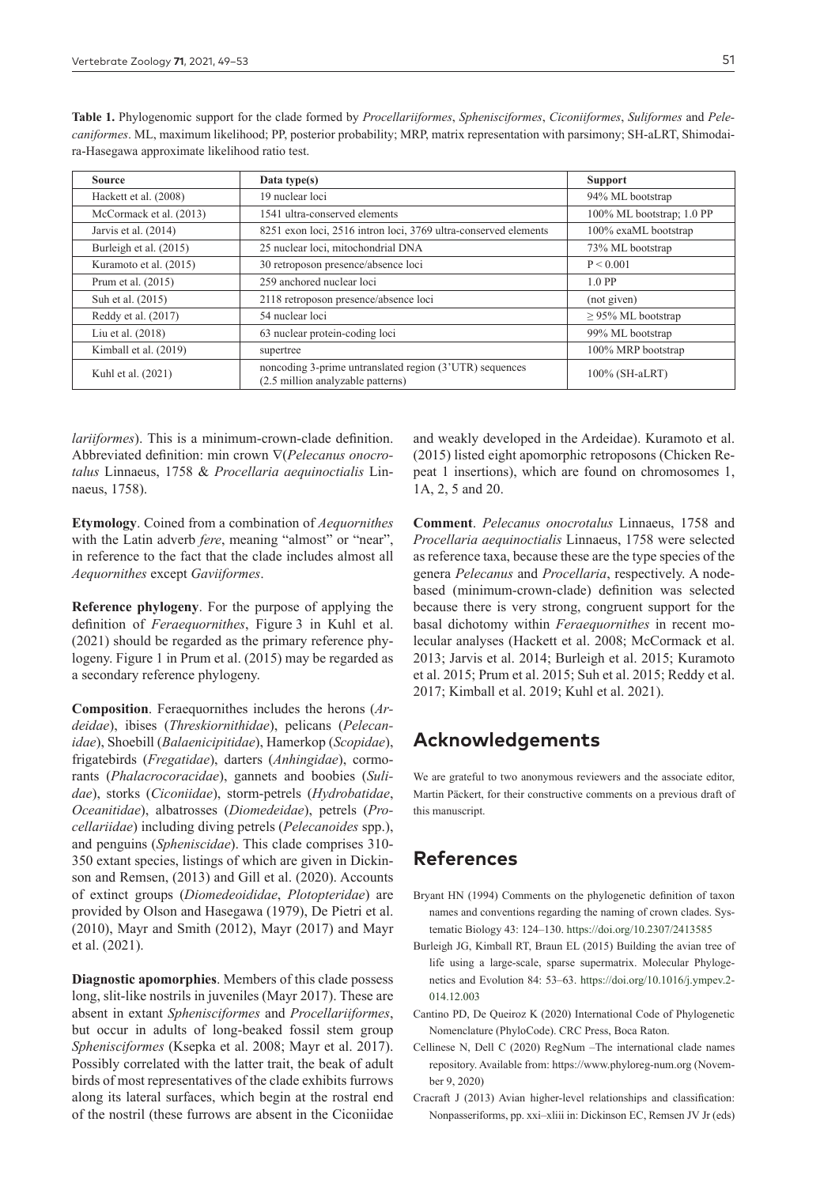| ra-Hasegawa approximate likelihood ratio test. |                                                                 |                           |
|------------------------------------------------|-----------------------------------------------------------------|---------------------------|
| <b>Source</b>                                  | Data type(s)                                                    | <b>Support</b>            |
| Hackett et al. (2008)                          | 19 nuclear loci                                                 | 94% ML bootstrap          |
| McCormack et al. (2013)                        | 1541 ultra-conserved elements                                   | 100% ML bootstrap; 1.0 PP |
| Jarvis et al. $(2014)$                         | 8251 exon loci, 2516 intron loci, 3769 ultra-conserved elements | 100% exaML bootstrap      |
| Burleigh et al. (2015)                         | 25 nuclear loci, mitochondrial DNA                              | 73% ML bootstrap          |
| Kuramoto et al. (2015)                         | 30 retroposon presence/absence loci                             | P < 0.001                 |
| Prum et al. $(2015)$                           | 259 anchored nuclear loci                                       | $1.0$ PP                  |
| Suh et al. (2015)                              | 2118 retroposon presence/absence loci                           | (not given)               |
| Reddy et al. (2017)                            | 54 nuclear loci                                                 | $\geq$ 95% ML bootstrap   |

 $(2.5 \text{ million analyzed} \text{le patterns})$  100% (SH-aLRT)

Liu et al. (2018) 63 nuclear protein-coding loci 99% ML bootstrap Kimball et al. (2019) supertree 100% MRP bootstrap

Kuhl et al. (2021) noncoding 3-prime untranslated region (3'UTR) sequences

**Table 1.** Phylogenomic support for the clade formed by *Procellariiformes*, *Sphenisciformes*, *Ciconiiformes*, *Suliformes* and *Pelecaniformes*. ML, maximum likelihood; PP, posterior probability; MRP, matrix representation with parsimony; SH-aLRT, Shimodai-

*lariiformes*). This is a minimum-crown-clade definition. Abbreviated definition: min crown ∇(*Pelecanus onocrotalus* Linnaeus, 1758 & *Procellaria aequinoctialis* Linnaeus, 1758).

**Etymology**. Coined from a combination of *Aequornithes* with the Latin adverb *fere*, meaning "almost" or "near", in reference to the fact that the clade includes almost all *Aequornithes* except *Gaviiformes*.

**Reference phylogeny**. For the purpose of applying the definition of *Feraequornithes*, Figure 3 in Kuhl et al. (2021) should be regarded as the primary reference phylogeny. Figure 1 in Prum et al. (2015) may be regarded as a secondary reference phylogeny.

**Composition**. Feraequornithes includes the herons (*Ardeidae*), ibises (*Threskiornithidae*), pelicans (*Pelecanidae*), Shoebill (*Balaenicipitidae*), Hamerkop (*Scopidae*), frigatebirds (*Fregatidae*), darters (*Anhingidae*), cormorants (*Phalacrocoracidae*), gannets and boobies (*Sulidae*), storks (*Ciconiidae*), storm-petrels (*Hydrobatidae*, *Oceanitidae*), albatrosses (*Diomedeidae*), petrels (*Procellariidae*) including diving petrels (*Pelecanoides* spp.), and penguins (*Spheniscidae*). This clade comprises 310- 350 extant species, listings of which are given in Dickinson and Remsen, (2013) and Gill et al. (2020). Accounts of extinct groups (*Diomedeoididae*, *Plotopteridae*) are provided by Olson and Hasegawa (1979), De Pietri et al. (2010), Mayr and Smith (2012), Mayr (2017) and Mayr et al. (2021).

**Diagnostic apomorphies**. Members of this clade possess long, slit-like nostrils in juveniles (Mayr 2017). These are absent in extant *Sphenisciformes* and *Procellariiformes*, but occur in adults of long-beaked fossil stem group *Sphenisciformes* (Ksepka et al. 2008; Mayr et al. 2017). Possibly correlated with the latter trait, the beak of adult birds of most representatives of the clade exhibits furrows along its lateral surfaces, which begin at the rostral end of the nostril (these furrows are absent in the Ciconiidae

and weakly developed in the Ardeidae). Kuramoto et al. (2015) listed eight apomorphic retroposons (Chicken Repeat 1 insertions), which are found on chromosomes 1, 1A, 2, 5 and 20.

**Comment**. *Pelecanus onocrotalus* Linnaeus, 1758 and *Procellaria aequinoctialis* Linnaeus, 1758 were selected as reference taxa, because these are the type species of the genera *Pelecanus* and *Procellaria*, respectively. A nodebased (minimum-crown-clade) definition was selected because there is very strong, congruent support for the basal dichotomy within *Feraequornithes* in recent molecular analyses (Hackett et al. 2008; McCormack et al. 2013; Jarvis et al. 2014; Burleigh et al. 2015; Kuramoto et al. 2015; Prum et al. 2015; Suh et al. 2015; Reddy et al. 2017; Kimball et al. 2019; Kuhl et al. 2021).

### **Acknowledgements**

We are grateful to two anonymous reviewers and the associate editor, Martin Päckert, for their constructive comments on a previous draft of this manuscript.

### **References**

- Bryant HN (1994) Comments on the phylogenetic definition of taxon names and conventions regarding the naming of crown clades. Systematic Biology 43: 124–130.<https://doi.org/10.2307/2413585>
- Burleigh JG, Kimball RT, Braun EL (2015) Building the avian tree of life using a large-scale, sparse supermatrix. Molecular Phylogenetics and Evolution 84: 53–63. [https://doi.org/10.1016/j.ympev.2-](https://doi.org/10.1016/j.ym%C2%ADpev.%C2%AD%C2%AD%C2%AD2%C2%AD0%C2%AD1%C2%AD4.12.003) [014.12.003](https://doi.org/10.1016/j.ym%C2%ADpev.%C2%AD%C2%AD%C2%AD2%C2%AD0%C2%AD1%C2%AD4.12.003)
- Cantino PD, De Queiroz K (2020) International Code of Phylogenetic Nomenclature (PhyloCode). CRC Press, Boca Raton.
- Cellinese N, Dell C (2020) RegNum –The international clade names repository. Available from: <https://www.phyloreg-num.org> (November 9, 2020)
- Cracraft J (2013) Avian higher-level relationships and classification: Nonpasseriforms, pp. xxi–xliii in: Dickinson EC, Remsen JV Jr (eds)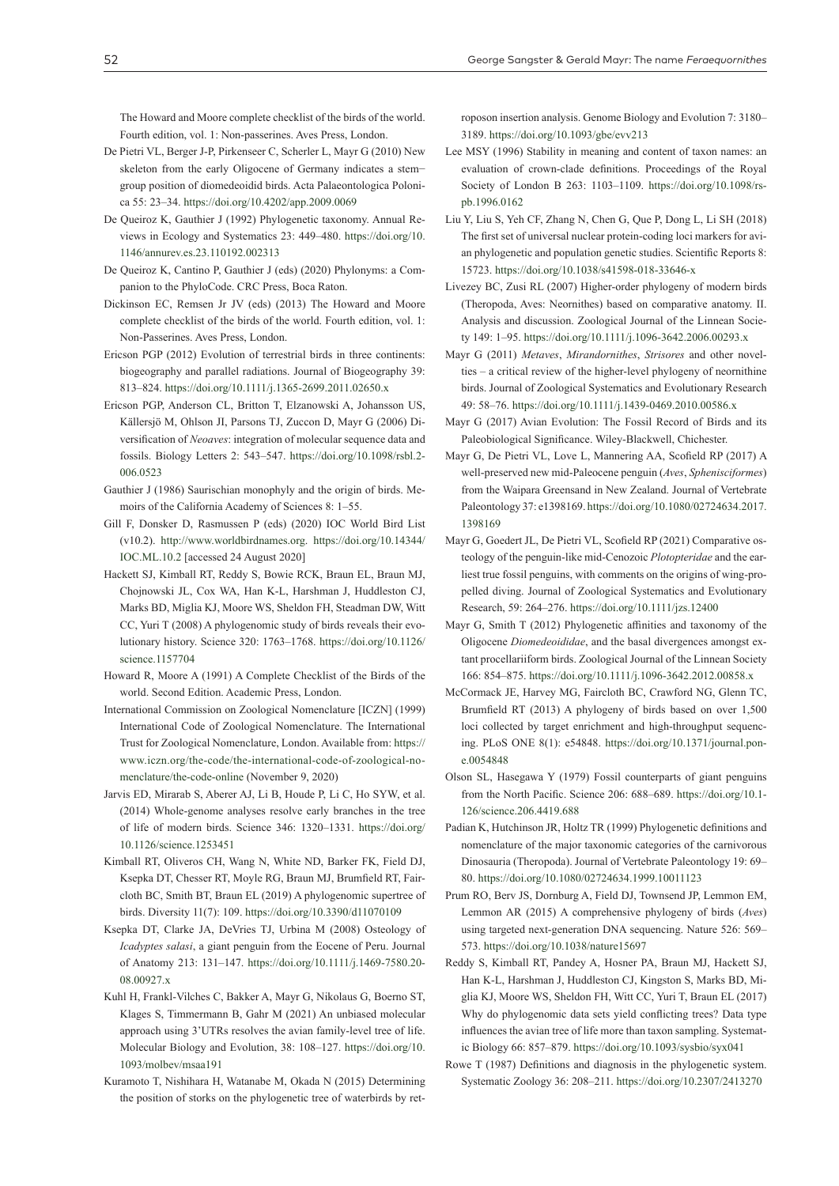The Howard and Moore complete checklist of the birds of the world. Fourth edition, vol. 1: Non-passerines. Aves Press, London.

- De Pietri VL, Berger J-P, Pirkenseer C, Scherler L, Mayr G (2010) New skeleton from the early Oligocene of Germany indicates a stem− group position of diomedeoidid birds. Acta Palaeontologica Polonica 55: 23–34.<https://doi.org/10.4202/app.2009.0069>
- De Queiroz K, Gauthier J (1992) Phylogenetic taxonomy. Annual Reviews in Ecology and Systematics 23: 449–480. [https://doi.org/10.](https://doi.org/%C2%AD10.%C2%AD1%C2%AD14%C2%AD6/annurev.es.23.110192.002313) [1146/annurev.es.23.110192.002313](https://doi.org/%C2%AD10.%C2%AD1%C2%AD14%C2%AD6/annurev.es.23.110192.002313)
- De Queiroz K, Cantino P, Gauthier J (eds) (2020) Phylonyms: a Companion to the PhyloCode. CRC Press, Boca Raton.
- Dickinson EC, Remsen Jr JV (eds) (2013) The Howard and Moore complete checklist of the birds of the world. Fourth edition, vol. 1: Non-Passerines. Aves Press, London.
- Ericson PGP (2012) Evolution of terrestrial birds in three continents: biogeography and parallel radiations. Journal of Biogeography 39: 813–824.<https://doi.org/10.1111/j.1365-2699.2011.02650.x>
- Ericson PGP, Anderson CL, Britton T, Elzanowski A, Johansson US, Källersjö M, Ohlson JI, Parsons TJ, Zuccon D, Mayr G (2006) Diversification of *Neoaves*: integration of molecular sequence data and fossils. Biology Letters 2: 543–547. [https://doi.org/10.1098/rsbl.2-](https://doi.org/10.1098/rsbl.%C2%AD2%C2%AD0%C2%AD0%C2%AD6%C2%AD.0523) [006.0523](https://doi.org/10.1098/rsbl.%C2%AD2%C2%AD0%C2%AD0%C2%AD6%C2%AD.0523)
- Gauthier J (1986) Saurischian monophyly and the origin of birds. Memoirs of the California Academy of Sciences 8: 1–55.
- Gill F, Donsker D, Rasmussen P (eds) (2020) IOC World Bird List (v10.2). [http://www.worldbirdnames.org.](http://%E2%80%8Bwww.%E2%80%8Bworldbirdnames.%E2%80%8Borg) [https://doi.org/10.14344/](https://doi.org/10.14344/IOC.ML.10.2) [IOC.ML.10.2](https://doi.org/10.14344/IOC.ML.10.2) [accessed 24 August 2020]
- Hackett SJ, Kimball RT, Reddy S, Bowie RCK, Braun EL, Braun MJ, Chojnowski JL, Cox WA, Han K-L, Harshman J, Huddleston CJ, Marks BD, Miglia KJ, Moore WS, Sheldon FH, Steadman DW, Witt CC, Yuri T (2008) A phylogenomic study of birds reveals their evolutionary history. Science 320: 1763–1768. [https://doi.org/10.1126/](https://doi.org/10.1126/science.1157704) [science.1157704](https://doi.org/10.1126/science.1157704)
- Howard R, Moore A (1991) A Complete Checklist of the Birds of the world. Second Edition. Academic Press, London.
- International Commission on Zoological Nomenclature [ICZN] (1999) International Code of Zoological Nomenclature. The International Trust for Zoological Nomenclature, London. Available from: [https://](https://www.iczn.org/the-code/the-international-code-of-zoological-nomenclature/the-code-online) [www.iczn.org/the-code/the-international-code-of-zoological-no](https://www.iczn.org/the-code/the-international-code-of-zoological-nomenclature/the-code-online)[menclature/the-code-online](https://www.iczn.org/the-code/the-international-code-of-zoological-nomenclature/the-code-online) (November 9, 2020)
- Jarvis ED, Mirarab S, Aberer AJ, Li B, Houde P, Li C, Ho SYW, et al. (2014) Whole-genome analyses resolve early branches in the tree of life of modern birds. Science 346: 1320–1331. [https://doi.org/](https://doi.org/%C2%AD1%C2%AD0.1126/science.1253451) [10.1126/science.1253451](https://doi.org/%C2%AD1%C2%AD0.1126/science.1253451)
- Kimball RT, Oliveros CH, Wang N, White ND, Barker FK, Field DJ, Ksepka DT, Chesser RT, Moyle RG, Braun MJ, Brumfield RT, Faircloth BC, Smith BT, Braun EL (2019) A phylogenomic supertree of birds. Diversity 11(7): 109.<https://doi.org/10.3390/d11070109>
- Ksepka DT, Clarke JA, DeVries TJ, Urbina M (2008) Osteology of *Icadyptes salasi*, a giant penguin from the Eocene of Peru. Journal of Anatomy 213: 131–147. [https://doi.org/10.1111/j.1469-7580.20-](https://doi.org/10.1111/j.1469-7580.%C2%AD2%C2%AD0%C2%AD0%C2%AD8.00927.x) [08.00927.x](https://doi.org/10.1111/j.1469-7580.%C2%AD2%C2%AD0%C2%AD0%C2%AD8.00927.x)
- Kuhl H, Frankl-Vilches C, Bakker A, Mayr G, Nikolaus G, Boerno ST, Klages S, Timmermann B, Gahr M (2021) An unbiased molecular approach using 3'UTRs resolves the avian family-level tree of life. Molecular Biology and Evolution, 38: 108–127. [https://doi.org/10.](https://doi.org/%C2%AD10.%C2%AD1%C2%AD0%C2%AD9%C2%AD3/molbev/msaa191) [1093/molbev/msaa191](https://doi.org/%C2%AD10.%C2%AD1%C2%AD0%C2%AD9%C2%AD3/molbev/msaa191)
- Kuramoto T, Nishihara H, Watanabe M, Okada N (2015) Determining the position of storks on the phylogenetic tree of waterbirds by ret-

roposon insertion analysis. Genome Biology and Evolution 7: 3180– 3189.<https://doi.org/10.1093/gbe/evv213>

- Lee MSY (1996) Stability in meaning and content of taxon names: an evaluation of crown-clade definitions. Proceedings of the Royal Society of London B 263: 1103–1109. [https://doi.org/10.1098/rs](https://doi.org/10.1098/r%C2%ADs%C2%ADpb.%C2%AD1996.0162)[pb.1996.0162](https://doi.org/10.1098/r%C2%ADs%C2%ADpb.%C2%AD1996.0162)
- Liu Y, Liu S, Yeh CF, Zhang N, Chen G, Que P, Dong L, Li SH (2018) The first set of universal nuclear protein-coding loci markers for avian phylogenetic and population genetic studies. Scientific Reports 8: 15723.<https://doi.org/10.1038/s41598-018-33646-x>
- Livezey BC, Zusi RL (2007) Higher-order phylogeny of modern birds (Theropoda, Aves: Neornithes) based on comparative anatomy. II. Analysis and discussion. Zoological Journal of the Linnean Society 149: 1–95. <https://doi.org/10.1111/j.1096-3642.2006.00293.x>
- Mayr G (2011) *Metaves*, *Mirandornithes*, *Strisores* and other novelties – a critical review of the higher-level phylogeny of neornithine birds. Journal of Zoological Systematics and Evolutionary Research 49: 58–76. <https://doi.org/10.1111/j.1439-0469.2010.00586.x>
- Mayr G (2017) Avian Evolution: The Fossil Record of Birds and its Paleobiological Significance. Wiley-Blackwell, Chichester.
- Mayr G, De Pietri VL, Love L, Mannering AA, Scofield RP (2017) A well-preserved new mid-Paleocene penguin (*Aves*, *Sphenisciformes*) from the Waipara Greensand in New Zealand. Journal of Vertebrate Paleontology 37: e1398169. [https://doi.org/10.1080/02724634.2017.](https://doi.org/10.1080/02724634.2017.%C2%AD1%C2%AD398169) [1398169](https://doi.org/10.1080/02724634.2017.%C2%AD1%C2%AD398169)
- Mayr G, Goedert JL, De Pietri VL, Scofield RP (2021) Comparative osteology of the penguin-like mid-Cenozoic *Plotopteridae* and the earliest true fossil penguins, with comments on the origins of wing-propelled diving. Journal of Zoological Systematics and Evolutionary Research, 59: 264–276. <https://doi.org/10.1111/jzs.12400>
- Mayr G, Smith T (2012) Phylogenetic affinities and taxonomy of the Oligocene *Diomedeoididae*, and the basal divergences amongst extant procellariiform birds. Zoological Journal of the Linnean Society 166: 854–875. <https://doi.org/10.1111/j.1096-3642.2012.00858.x>
- McCormack JE, Harvey MG, Faircloth BC, Crawford NG, Glenn TC, Brumfield RT (2013) A phylogeny of birds based on over 1,500 loci collected by target enrichment and high-throughput sequencing. PLoS ONE 8(1): e54848. [https://doi.org/10.1371/journal.pon](https://doi.org/10.1371/journal.p%C2%ADo%C2%ADn%C2%ADe%C2%AD.%C2%AD0%C2%AD054848)[e.0054848](https://doi.org/10.1371/journal.p%C2%ADo%C2%ADn%C2%ADe%C2%AD.%C2%AD0%C2%AD054848)
- Olson SL, Hasegawa Y (1979) Fossil counterparts of giant penguins from the North Pacific. Science 206: 688–689. [https://doi.org/10.1-](https://doi.org/%C2%AD10%C2%AD.%C2%AD1%C2%AD1%C2%AD2%C2%AD6/science.206.4419.688) [126/science.206.4419.688](https://doi.org/%C2%AD10%C2%AD.%C2%AD1%C2%AD1%C2%AD2%C2%AD6/science.206.4419.688)
- Padian K, Hutchinson JR, Holtz TR (1999) Phylogenetic definitions and nomenclature of the major taxonomic categories of the carnivorous Dinosauria (Theropoda). Journal of Vertebrate Paleontology 19: 69– 80.<https://doi.org/10.1080/02724634.1999.10011123>
- Prum RO, Berv JS, Dornburg A, Field DJ, Townsend JP, Lemmon EM, Lemmon AR (2015) A comprehensive phylogeny of birds (*Aves*) using targeted next-generation DNA sequencing. Nature 526: 569– 573.<https://doi.org/10.1038/nature15697>
- Reddy S, Kimball RT, Pandey A, Hosner PA, Braun MJ, Hackett SJ, Han K-L, Harshman J, Huddleston CJ, Kingston S, Marks BD, Miglia KJ, Moore WS, Sheldon FH, Witt CC, Yuri T, Braun EL (2017) Why do phylogenomic data sets yield conflicting trees? Data type influences the avian tree of life more than taxon sampling. Systematic Biology 66: 857–879.<https://doi.org/10.1093/sysbio/syx041>
- Rowe T (1987) Definitions and diagnosis in the phylogenetic system. Systematic Zoology 36: 208–211. <https://doi.org/10.2307/2413270>